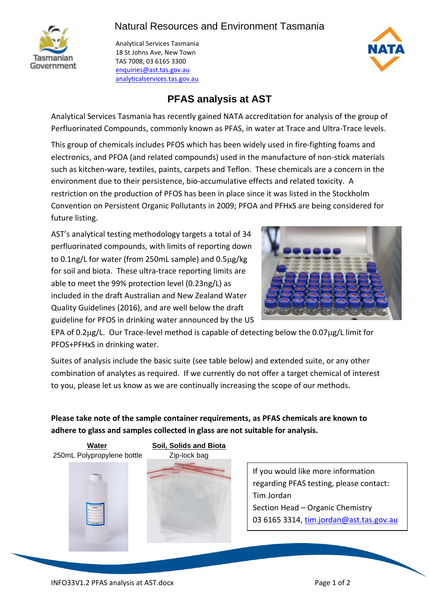



Analytical Services Tasmania 18 St Johns Ave, New Town TAS 7008, 03 6165 3300 [enquiries@ast.tas.gov.au](mailto:enquiries@ast.tas.gov.au) analyticalservices.tas.gov.au



## **PFAS analysis at AST**

Analytical Services Tasmania has recently gained NATA accreditation for analysis of the group of Perfluorinated Compounds, commonly known as PFAS, in water at Trace and Ultra-Trace levels.

This group of chemicals includes PFOS which has been widely used in fire-fighting foams and electronics, and PFOA (and related compounds) used in the manufacture of non-stick materials such as kitchen-ware, textiles, paints, carpets and Teflon. These chemicals are a concern in the environment due to their persistence, bio-accumulative effects and related toxicity. A restriction on the production of PFOS has been in place since it was listed in the Stockholm Convention on Persistent Organic Pollutants in 2009; PFOA and PFHxS are being considered for future listing.

AST's analytical testing methodology targets a total of 34 perfluorinated compounds, with limits of reporting down to 0.1ng/L for water (from 250mL sample) and  $0.5\mu$ g/kg for soil and biota. These ultra-trace reporting limits are able to meet the 99% protection level (0.23ng/L) as included in the draft Australian and New Zealand Water Quality Guidelines (2016), and are well below the draft guideline for PFOS in drinking water announced by the US



EPA of 0.2µg/L. Our Trace-level method is capable of detecting below the 0.07µg/L limit for PFOS+PFHxS in drinking water.

Suites of analysis include the basic suite (see table below) and extended suite, or any other combination of analytes as required. If we currently do not offer a target chemical of interest to you, please let us know as we are continually increasing the scope of our methods.

**Please take note of the sample container requirements, as PFAS chemicals are known to adhere to glass and samples collected in glass are not suitable for analysis.**